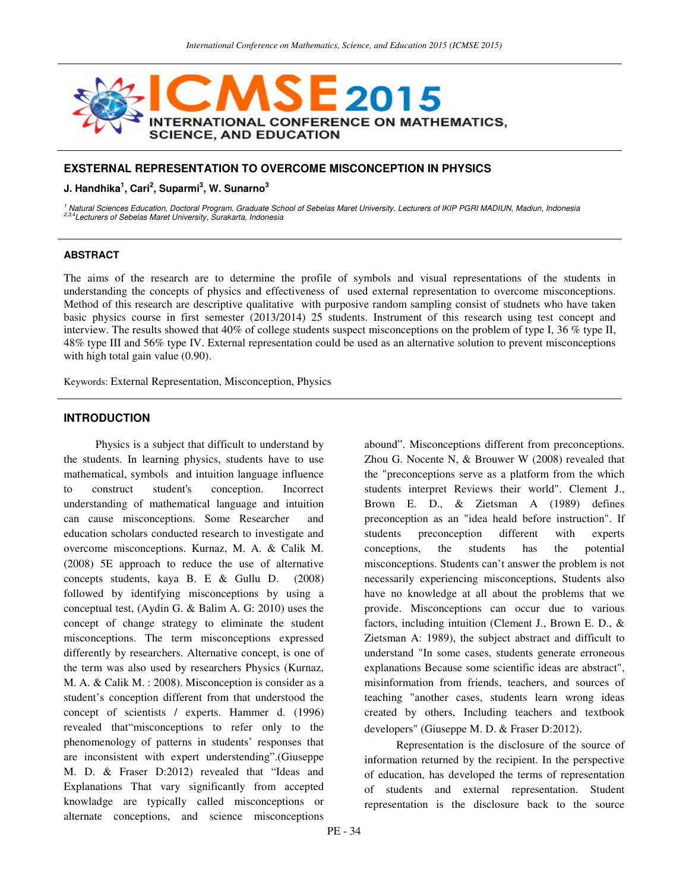

# **EXSTERNAL REPRESENTATION TO OVERCOME MISCONCEPTION IN PHYSICS**

#### **J. Handhika<sup>1</sup> , Cari<sup>2</sup> , Suparmi<sup>3</sup> , W. Sunarno<sup>3</sup>**

<sup>1</sup> Natural Sciences Education, Doctoral Program, Graduate School of Sebelas Maret University, Lecturers of IKIP PGRI MADIUN, Madiun, Indonesia<br><sup>2,3,4</sup>Lecturers of Sebelas Maret University, Surakarta, Indonesia

#### **ABSTRACT**

The aims of the research are to determine the profile of symbols and visual representations of the students in understanding the concepts of physics and effectiveness of used external representation to overcome misconceptions. Method of this research are descriptive qualitative with purposive random sampling consist of studnets who have taken basic physics course in first semester (2013/2014) 25 students. Instrument of this research using test concept and interview. The results showed that 40% of college students suspect misconceptions on the problem of type I, 36 % type II, 48% type III and 56% type IV. External representation could be used as an alternative solution to prevent misconceptions with high total gain value  $(0.90)$ .

Keywords: External Representation, Misconception, Physics

#### **INTRODUCTION**

Physics is a subject that difficult to understand by the students. In learning physics, students have to use mathematical, symbols and intuition language influence to construct student's conception. Incorrect understanding of mathematical language and intuition can cause misconceptions. Some Researcher and education scholars conducted research to investigate and overcome misconceptions. Kurnaz, M. A. & Calik M. (2008) 5E approach to reduce the use of alternative concepts students, kaya B. E & Gullu D. (2008) followed by identifying misconceptions by using a conceptual test, (Aydin G. & Balim A. G: 2010) uses the concept of change strategy to eliminate the student misconceptions. The term misconceptions expressed differently by researchers. Alternative concept, is one of the term was also used by researchers Physics (Kurnaz, M. A. & Calik M. : 2008). Misconception is consider as a student's conception different from that understood the concept of scientists / experts. Hammer d. (1996) revealed that"misconceptions to refer only to the phenomenology of patterns in students' responses that are inconsistent with expert understending".(Giuseppe M. D. & Fraser D:2012) revealed that "Ideas and Explanations That vary significantly from accepted knowladge are typically called misconceptions or alternate conceptions, and science misconceptions

abound". Misconceptions different from preconceptions. Zhou G. Nocente N, & Brouwer W (2008) revealed that the "preconceptions serve as a platform from the which students interpret Reviews their world". Clement J., Brown E. D., & Zietsman A (1989) defines preconception as an "idea heald before instruction". If students preconception different with experts conceptions, the students has the potential misconceptions. Students can't answer the problem is not necessarily experiencing misconceptions, Students also have no knowledge at all about the problems that we provide. Misconceptions can occur due to various factors, including intuition (Clement J., Brown E. D., & Zietsman A: 1989), the subject abstract and difficult to understand "In some cases, students generate erroneous explanations Because some scientific ideas are abstract", misinformation from friends, teachers, and sources of teaching "another cases, students learn wrong ideas created by others, Including teachers and textbook developers" (Giuseppe M. D. & Fraser D:2012).

Representation is the disclosure of the source of information returned by the recipient. In the perspective of education, has developed the terms of representation of students and external representation. Student representation is the disclosure back to the source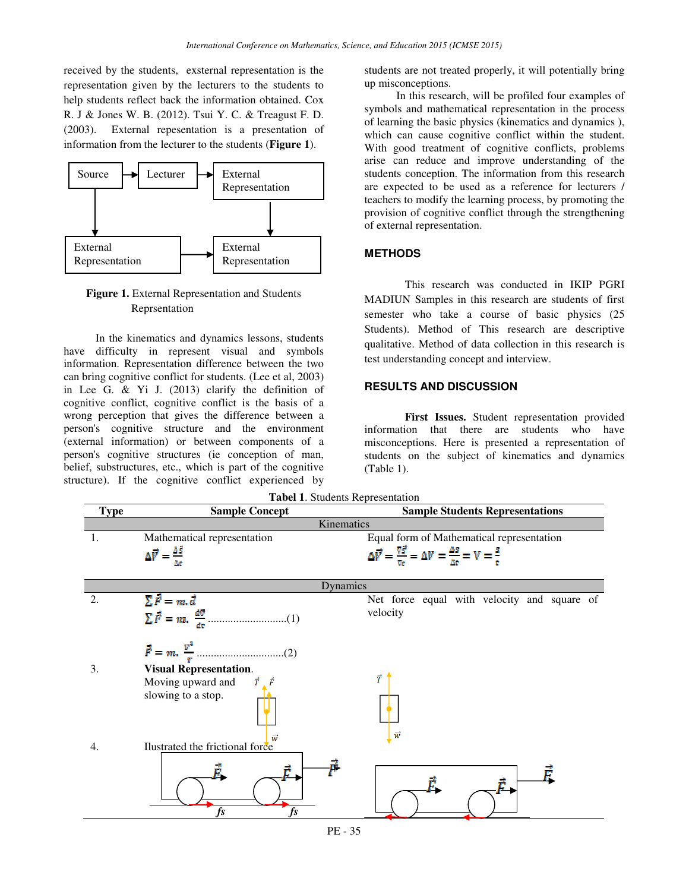received by the students, exsternal representation is the representation given by the lecturers to the students to help students reflect back the information obtained. Cox R. J & Jones W. B. (2012). Tsui Y. C. & Treagust F. D. (2003). External repesentation is a presentation of information from the lecturer to the students (**Figure 1**).



**Figure 1.** External Representation and Students Reprsentation

In the kinematics and dynamics lessons, students have difficulty in represent visual and symbols information. Representation difference between the two can bring cognitive conflict for students. (Lee et al, 2003) in Lee G. & Yi J. (2013) clarify the definition of cognitive conflict, cognitive conflict is the basis of a wrong perception that gives the difference between a person's cognitive structure and the environment (external information) or between components of a person's cognitive structures (ie conception of man, belief, substructures, etc., which is part of the cognitive structure). If the cognitive conflict experienced by students are not treated properly, it will potentially bring up misconceptions.

In this research, will be profiled four examples of symbols and mathematical representation in the process of learning the basic physics (kinematics and dynamics ), which can cause cognitive conflict within the student. With good treatment of cognitive conflicts, problems arise can reduce and improve understanding of the students conception. The information from this research are expected to be used as a reference for lecturers / teachers to modify the learning process, by promoting the provision of cognitive conflict through the strengthening of external representation.

# **METHODS**

This research was conducted in IKIP PGRI MADIUN Samples in this research are students of first semester who take a course of basic physics (25 Students). Method of This research are descriptive qualitative. Method of data collection in this research is test understanding concept and interview.

### **RESULTS AND DISCUSSION**

**First Issues.** Student representation provided information that there are students who have misconceptions. Here is presented a representation of students on the subject of kinematics and dynamics (Table 1).

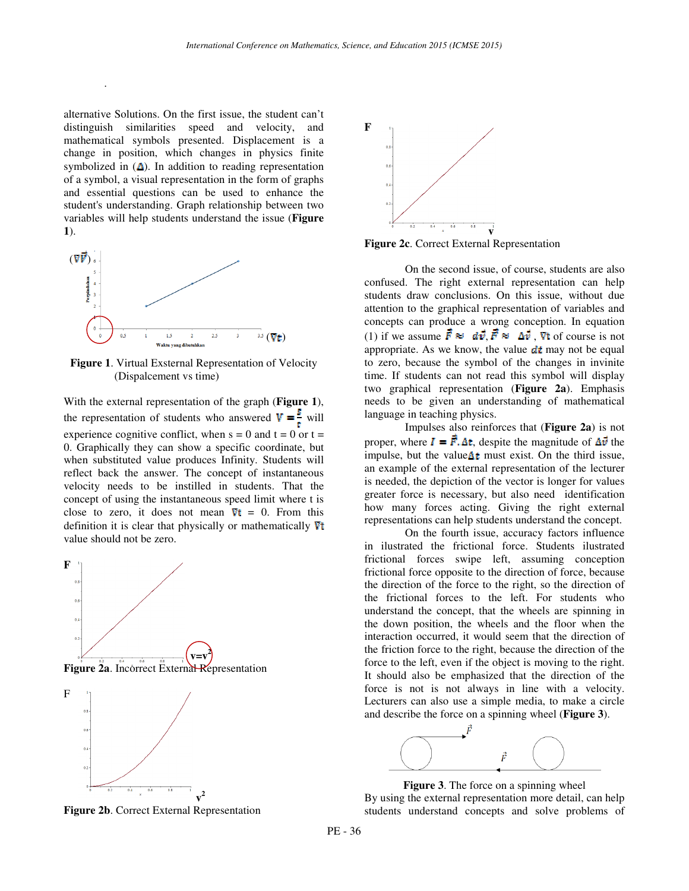alternative Solutions. On the first issue, the student can't distinguish similarities speed and velocity, and mathematical symbols presented. Displacement is a change in position, which changes in physics finite symbolized in  $($  $\Delta$ ). In addition to reading representation of a symbol, a visual representation in the form of graphs and essential questions can be used to enhance the student's understanding. Graph relationship between two variables will help students understand the issue (**Figure 1**).

.



**Figure 1**. Virtual Exsternal Representation of Velocity (Dispalcement vs time)

With the external representation of the graph (**Figure 1**), the representation of students who answered  $V = \frac{3}{4}$  will experience cognitive conflict, when  $s = 0$  and  $t = 0$  or  $t =$ 0. Graphically they can show a specific coordinate, but when substituted value produces Infinity. Students will reflect back the answer. The concept of instantaneous velocity needs to be instilled in students. That the concept of using the instantaneous speed limit where t is close to zero, it does not mean  $\nabla t = 0$ . From this definition it is clear that physically or mathematically  $\nabla t$ value should not be zero.



**Figure 2b**. Correct External Representation



**Figure 2c**. Correct External Representation

On the second issue, of course, students are also confused. The right external representation can help students draw conclusions. On this issue, without due attention to the graphical representation of variables and concepts can produce a wrong conception. In equation (1) if we assume  $\vec{F} \approx d\vec{v}$ ,  $\vec{F} \approx \Delta \vec{v}$ , Vt of course is not appropriate. As we know, the value  $\frac{d}{dx}$  may not be equal to zero, because the symbol of the changes in invinite time. If students can not read this symbol will display two graphical representation (**Figure 2a**). Emphasis needs to be given an understanding of mathematical language in teaching physics.

Impulses also reinforces that (**Figure 2a**) is not proper, where  $I = \vec{F} \cdot \Delta t$ , despite the magnitude of  $\Delta \vec{v}$  the impulse, but the value $\Delta t$  must exist. On the third issue, an example of the external representation of the lecturer is needed, the depiction of the vector is longer for values greater force is necessary, but also need identification how many forces acting. Giving the right external representations can help students understand the concept.

On the fourth issue, accuracy factors influence in ilustrated the frictional force. Students ilustrated frictional forces swipe left, assuming conception frictional force opposite to the direction of force, because the direction of the force to the right, so the direction of the frictional forces to the left. For students who understand the concept, that the wheels are spinning in the down position, the wheels and the floor when the interaction occurred, it would seem that the direction of the friction force to the right, because the direction of the force to the left, even if the object is moving to the right. It should also be emphasized that the direction of the force is not is not always in line with a velocity. Lecturers can also use a simple media, to make a circle and describe the force on a spinning wheel (**Figure 3**).



**Figure 3**. The force on a spinning wheel By using the external representation more detail, can help students understand concepts and solve problems of